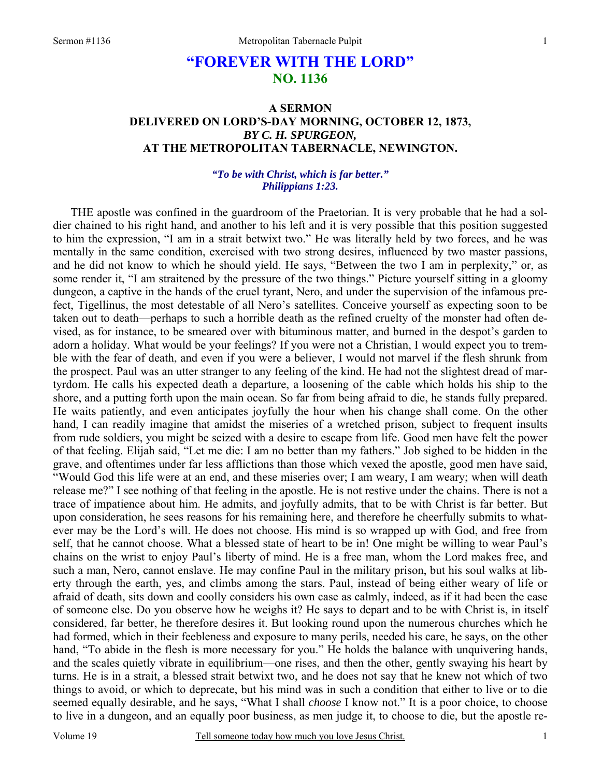# **"FOREVER WITH THE LORD" NO. 1136**

# **A SERMON DELIVERED ON LORD'S-DAY MORNING, OCTOBER 12, 1873,**  *BY C. H. SPURGEON,*  **AT THE METROPOLITAN TABERNACLE, NEWINGTON.**

#### *"To be with Christ, which is far better." Philippians 1:23.*

THE apostle was confined in the guardroom of the Praetorian. It is very probable that he had a soldier chained to his right hand, and another to his left and it is very possible that this position suggested to him the expression, "I am in a strait betwixt two." He was literally held by two forces, and he was mentally in the same condition, exercised with two strong desires, influenced by two master passions, and he did not know to which he should yield. He says, "Between the two I am in perplexity," or, as some render it, "I am straitened by the pressure of the two things." Picture yourself sitting in a gloomy dungeon, a captive in the hands of the cruel tyrant, Nero, and under the supervision of the infamous prefect, Tigellinus, the most detestable of all Nero's satellites. Conceive yourself as expecting soon to be taken out to death—perhaps to such a horrible death as the refined cruelty of the monster had often devised, as for instance, to be smeared over with bituminous matter, and burned in the despot's garden to adorn a holiday. What would be your feelings? If you were not a Christian, I would expect you to tremble with the fear of death, and even if you were a believer, I would not marvel if the flesh shrunk from the prospect. Paul was an utter stranger to any feeling of the kind. He had not the slightest dread of martyrdom. He calls his expected death a departure, a loosening of the cable which holds his ship to the shore, and a putting forth upon the main ocean. So far from being afraid to die, he stands fully prepared. He waits patiently, and even anticipates joyfully the hour when his change shall come. On the other hand, I can readily imagine that amidst the miseries of a wretched prison, subject to frequent insults from rude soldiers, you might be seized with a desire to escape from life. Good men have felt the power of that feeling. Elijah said, "Let me die: I am no better than my fathers." Job sighed to be hidden in the grave, and oftentimes under far less afflictions than those which vexed the apostle, good men have said, "Would God this life were at an end, and these miseries over; I am weary, I am weary; when will death release me?" I see nothing of that feeling in the apostle. He is not restive under the chains. There is not a trace of impatience about him. He admits, and joyfully admits, that to be with Christ is far better. But upon consideration, he sees reasons for his remaining here, and therefore he cheerfully submits to whatever may be the Lord's will. He does not choose. His mind is so wrapped up with God, and free from self, that he cannot choose. What a blessed state of heart to be in! One might be willing to wear Paul's chains on the wrist to enjoy Paul's liberty of mind. He is a free man, whom the Lord makes free, and such a man, Nero, cannot enslave. He may confine Paul in the military prison, but his soul walks at liberty through the earth, yes, and climbs among the stars. Paul, instead of being either weary of life or afraid of death, sits down and coolly considers his own case as calmly, indeed, as if it had been the case of someone else. Do you observe how he weighs it? He says to depart and to be with Christ is, in itself considered, far better, he therefore desires it. But looking round upon the numerous churches which he had formed, which in their feebleness and exposure to many perils, needed his care, he says, on the other hand, "To abide in the flesh is more necessary for you." He holds the balance with unquivering hands, and the scales quietly vibrate in equilibrium—one rises, and then the other, gently swaying his heart by turns. He is in a strait, a blessed strait betwixt two, and he does not say that he knew not which of two things to avoid, or which to deprecate, but his mind was in such a condition that either to live or to die seemed equally desirable, and he says, "What I shall *choose* I know not." It is a poor choice, to choose to live in a dungeon, and an equally poor business, as men judge it, to choose to die, but the apostle re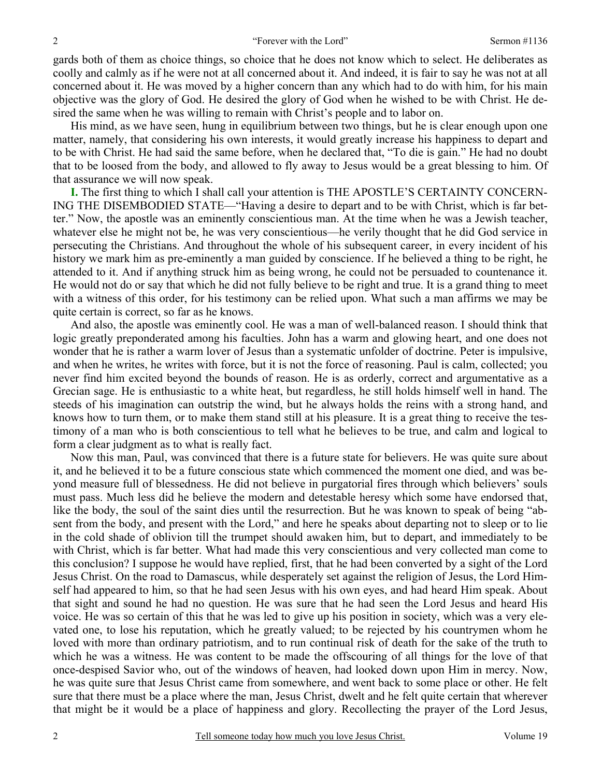gards both of them as choice things, so choice that he does not know which to select. He deliberates as coolly and calmly as if he were not at all concerned about it. And indeed, it is fair to say he was not at all concerned about it. He was moved by a higher concern than any which had to do with him, for his main objective was the glory of God. He desired the glory of God when he wished to be with Christ. He desired the same when he was willing to remain with Christ's people and to labor on.

His mind, as we have seen, hung in equilibrium between two things, but he is clear enough upon one matter, namely, that considering his own interests, it would greatly increase his happiness to depart and to be with Christ. He had said the same before, when he declared that, "To die is gain." He had no doubt that to be loosed from the body, and allowed to fly away to Jesus would be a great blessing to him. Of that assurance we will now speak.

**I.** The first thing to which I shall call your attention is THE APOSTLE'S CERTAINTY CONCERN-ING THE DISEMBODIED STATE—"Having a desire to depart and to be with Christ, which is far better." Now, the apostle was an eminently conscientious man. At the time when he was a Jewish teacher, whatever else he might not be, he was very conscientious—he verily thought that he did God service in persecuting the Christians. And throughout the whole of his subsequent career, in every incident of his history we mark him as pre-eminently a man guided by conscience. If he believed a thing to be right, he attended to it. And if anything struck him as being wrong, he could not be persuaded to countenance it. He would not do or say that which he did not fully believe to be right and true. It is a grand thing to meet with a witness of this order, for his testimony can be relied upon. What such a man affirms we may be quite certain is correct, so far as he knows.

And also, the apostle was eminently cool. He was a man of well-balanced reason. I should think that logic greatly preponderated among his faculties. John has a warm and glowing heart, and one does not wonder that he is rather a warm lover of Jesus than a systematic unfolder of doctrine. Peter is impulsive, and when he writes, he writes with force, but it is not the force of reasoning. Paul is calm, collected; you never find him excited beyond the bounds of reason. He is as orderly, correct and argumentative as a Grecian sage. He is enthusiastic to a white heat, but regardless, he still holds himself well in hand. The steeds of his imagination can outstrip the wind, but he always holds the reins with a strong hand, and knows how to turn them, or to make them stand still at his pleasure. It is a great thing to receive the testimony of a man who is both conscientious to tell what he believes to be true, and calm and logical to form a clear judgment as to what is really fact.

Now this man, Paul, was convinced that there is a future state for believers. He was quite sure about it, and he believed it to be a future conscious state which commenced the moment one died, and was beyond measure full of blessedness. He did not believe in purgatorial fires through which believers' souls must pass. Much less did he believe the modern and detestable heresy which some have endorsed that, like the body, the soul of the saint dies until the resurrection. But he was known to speak of being "absent from the body, and present with the Lord," and here he speaks about departing not to sleep or to lie in the cold shade of oblivion till the trumpet should awaken him, but to depart, and immediately to be with Christ, which is far better. What had made this very conscientious and very collected man come to this conclusion? I suppose he would have replied, first, that he had been converted by a sight of the Lord Jesus Christ. On the road to Damascus, while desperately set against the religion of Jesus, the Lord Himself had appeared to him, so that he had seen Jesus with his own eyes, and had heard Him speak. About that sight and sound he had no question. He was sure that he had seen the Lord Jesus and heard His voice. He was so certain of this that he was led to give up his position in society, which was a very elevated one, to lose his reputation, which he greatly valued; to be rejected by his countrymen whom he loved with more than ordinary patriotism, and to run continual risk of death for the sake of the truth to which he was a witness. He was content to be made the offscouring of all things for the love of that once-despised Savior who, out of the windows of heaven, had looked down upon Him in mercy. Now, he was quite sure that Jesus Christ came from somewhere, and went back to some place or other. He felt sure that there must be a place where the man, Jesus Christ, dwelt and he felt quite certain that wherever that might be it would be a place of happiness and glory. Recollecting the prayer of the Lord Jesus,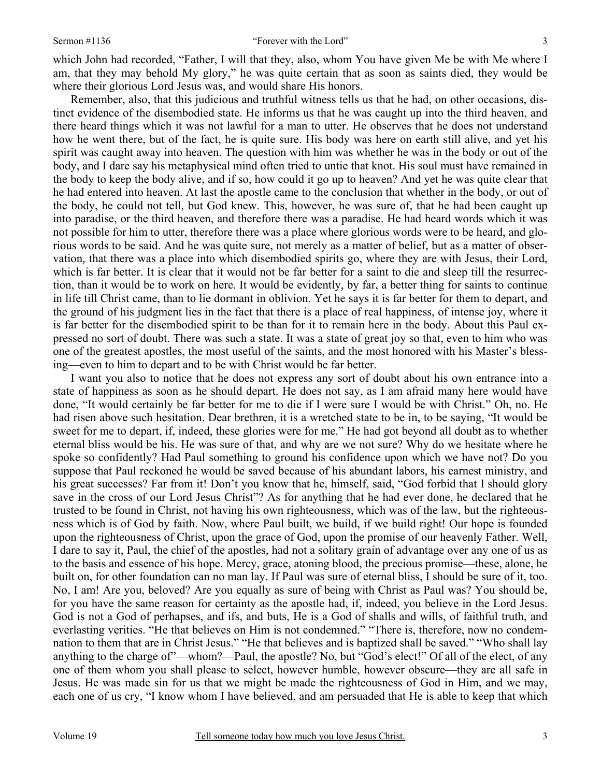which John had recorded, "Father, I will that they, also, whom You have given Me be with Me where I am, that they may behold My glory," he was quite certain that as soon as saints died, they would be where their glorious Lord Jesus was, and would share His honors.

Remember, also, that this judicious and truthful witness tells us that he had, on other occasions, distinct evidence of the disembodied state. He informs us that he was caught up into the third heaven, and there heard things which it was not lawful for a man to utter. He observes that he does not understand how he went there, but of the fact, he is quite sure. His body was here on earth still alive, and yet his spirit was caught away into heaven. The question with him was whether he was in the body or out of the body, and I dare say his metaphysical mind often tried to untie that knot. His soul must have remained in the body to keep the body alive, and if so, how could it go up to heaven? And yet he was quite clear that he had entered into heaven. At last the apostle came to the conclusion that whether in the body, or out of the body, he could not tell, but God knew. This, however, he was sure of, that he had been caught up into paradise, or the third heaven, and therefore there was a paradise. He had heard words which it was not possible for him to utter, therefore there was a place where glorious words were to be heard, and glorious words to be said. And he was quite sure, not merely as a matter of belief, but as a matter of observation*,* that there was a place into which disembodied spirits go, where they are with Jesus, their Lord, which is far better. It is clear that it would not be far better for a saint to die and sleep till the resurrection, than it would be to work on here. It would be evidently, by far, a better thing for saints to continue in life till Christ came, than to lie dormant in oblivion. Yet he says it is far better for them to depart, and the ground of his judgment lies in the fact that there is a place of real happiness, of intense joy, where it is far better for the disembodied spirit to be than for it to remain here in the body. About this Paul expressed no sort of doubt. There was such a state. It was a state of great joy so that, even to him who was one of the greatest apostles, the most useful of the saints, and the most honored with his Master's blessing—even to him to depart and to be with Christ would be far better.

I want you also to notice that he does not express any sort of doubt about his own entrance into a state of happiness as soon as he should depart. He does not say, as I am afraid many here would have done, "It would certainly be far better for me to die if I were sure I would be with Christ." Oh, no. He had risen above such hesitation. Dear brethren, it is a wretched state to be in, to be saying, "It would be sweet for me to depart, if, indeed, these glories were for me." He had got beyond all doubt as to whether eternal bliss would be his. He was sure of that, and why are we not sure? Why do we hesitate where he spoke so confidently? Had Paul something to ground his confidence upon which we have not? Do you suppose that Paul reckoned he would be saved because of his abundant labors, his earnest ministry, and his great successes? Far from it! Don't you know that he, himself, said, "God forbid that I should glory save in the cross of our Lord Jesus Christ"? As for anything that he had ever done, he declared that he trusted to be found in Christ, not having his own righteousness, which was of the law, but the righteousness which is of God by faith. Now, where Paul built, we build, if we build right! Our hope is founded upon the righteousness of Christ, upon the grace of God, upon the promise of our heavenly Father. Well, I dare to say it, Paul, the chief of the apostles, had not a solitary grain of advantage over any one of us as to the basis and essence of his hope. Mercy, grace, atoning blood, the precious promise—these, alone, he built on, for other foundation can no man lay. If Paul was sure of eternal bliss, I should be sure of it, too. No, I am! Are you, beloved? Are you equally as sure of being with Christ as Paul was? You should be, for you have the same reason for certainty as the apostle had, if, indeed, you believe in the Lord Jesus. God is not a God of perhapses, and ifs, and buts, He is a God of shalls and wills, of faithful truth, and everlasting verities. "He that believes on Him is not condemned." "There is, therefore, now no condemnation to them that are in Christ Jesus." "He that believes and is baptized shall be saved." "Who shall lay anything to the charge of"—whom?—Paul, the apostle? No, but "God's elect!" Of all of the elect, of any one of them whom you shall please to select, however humble, however obscure—they are all safe in Jesus. He was made sin for us that we might be made the righteousness of God in Him, and we may, each one of us cry, "I know whom I have believed, and am persuaded that He is able to keep that which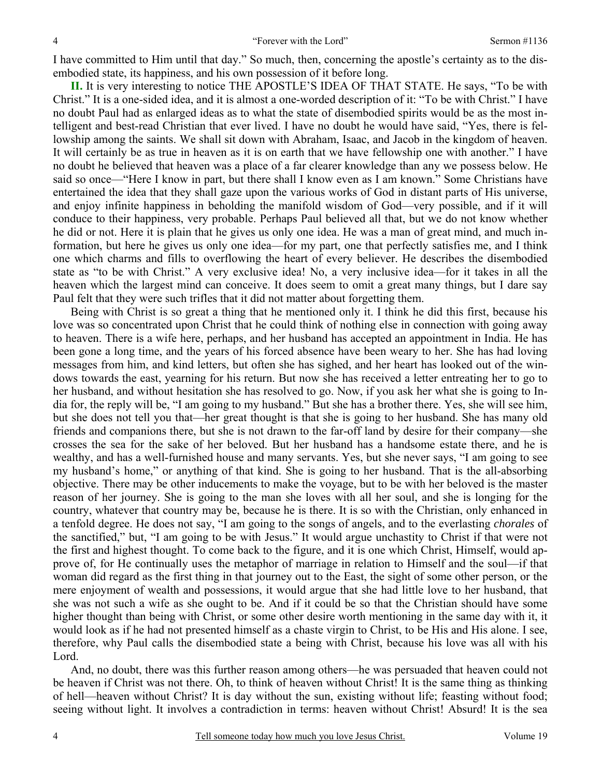I have committed to Him until that day." So much, then, concerning the apostle's certainty as to the disembodied state, its happiness, and his own possession of it before long.

**II.** It is very interesting to notice THE APOSTLE'S IDEA OF THAT STATE. He says, "To be with Christ." It is a one-sided idea, and it is almost a one-worded description of it: "To be with Christ." I have no doubt Paul had as enlarged ideas as to what the state of disembodied spirits would be as the most intelligent and best-read Christian that ever lived. I have no doubt he would have said, "Yes, there is fellowship among the saints. We shall sit down with Abraham, Isaac, and Jacob in the kingdom of heaven. It will certainly be as true in heaven as it is on earth that we have fellowship one with another." I have no doubt he believed that heaven was a place of a far clearer knowledge than any we possess below. He said so once—"Here I know in part, but there shall I know even as I am known." Some Christians have entertained the idea that they shall gaze upon the various works of God in distant parts of His universe, and enjoy infinite happiness in beholding the manifold wisdom of God—very possible, and if it will conduce to their happiness, very probable. Perhaps Paul believed all that, but we do not know whether he did or not. Here it is plain that he gives us only one idea. He was a man of great mind, and much information, but here he gives us only one idea—for my part, one that perfectly satisfies me, and I think one which charms and fills to overflowing the heart of every believer. He describes the disembodied state as "to be with Christ." A very exclusive idea! No, a very inclusive idea—for it takes in all the heaven which the largest mind can conceive. It does seem to omit a great many things, but I dare say Paul felt that they were such trifles that it did not matter about forgetting them.

Being with Christ is so great a thing that he mentioned only it. I think he did this first, because his love was so concentrated upon Christ that he could think of nothing else in connection with going away to heaven. There is a wife here, perhaps, and her husband has accepted an appointment in India. He has been gone a long time, and the years of his forced absence have been weary to her. She has had loving messages from him, and kind letters, but often she has sighed, and her heart has looked out of the windows towards the east, yearning for his return. But now she has received a letter entreating her to go to her husband, and without hesitation she has resolved to go. Now, if you ask her what she is going to India for, the reply will be, "I am going to my husband." But she has a brother there. Yes, she will see him, but she does not tell you that—her great thought is that she is going to her husband. She has many old friends and companions there, but she is not drawn to the far-off land by desire for their company—she crosses the sea for the sake of her beloved. But her husband has a handsome estate there, and he is wealthy, and has a well-furnished house and many servants. Yes, but she never says, "I am going to see my husband's home," or anything of that kind. She is going to her husband. That is the all-absorbing objective. There may be other inducements to make the voyage, but to be with her beloved is the master reason of her journey. She is going to the man she loves with all her soul, and she is longing for the country, whatever that country may be, because he is there. It is so with the Christian, only enhanced in a tenfold degree. He does not say, "I am going to the songs of angels, and to the everlasting *chorales* of the sanctified," but, "I am going to be with Jesus." It would argue unchastity to Christ if that were not the first and highest thought. To come back to the figure, and it is one which Christ, Himself, would approve of, for He continually uses the metaphor of marriage in relation to Himself and the soul—if that woman did regard as the first thing in that journey out to the East, the sight of some other person, or the mere enjoyment of wealth and possessions, it would argue that she had little love to her husband, that she was not such a wife as she ought to be. And if it could be so that the Christian should have some higher thought than being with Christ, or some other desire worth mentioning in the same day with it, it would look as if he had not presented himself as a chaste virgin to Christ, to be His and His alone. I see, therefore, why Paul calls the disembodied state a being with Christ, because his love was all with his Lord.

And, no doubt, there was this further reason among others—he was persuaded that heaven could not be heaven if Christ was not there. Oh, to think of heaven without Christ! It is the same thing as thinking of hell—heaven without Christ? It is day without the sun, existing without life; feasting without food; seeing without light. It involves a contradiction in terms: heaven without Christ! Absurd! It is the sea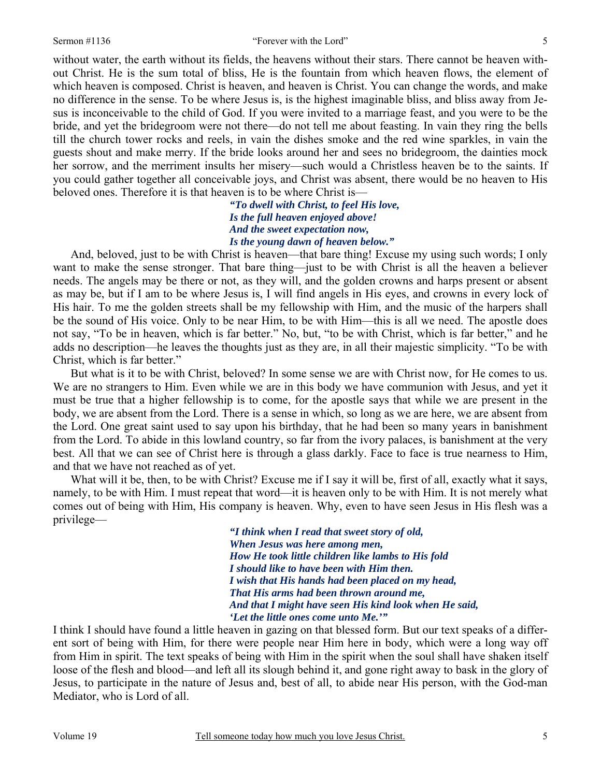without water, the earth without its fields, the heavens without their stars. There cannot be heaven without Christ. He is the sum total of bliss, He is the fountain from which heaven flows, the element of which heaven is composed. Christ is heaven, and heaven is Christ. You can change the words, and make no difference in the sense. To be where Jesus is, is the highest imaginable bliss, and bliss away from Jesus is inconceivable to the child of God. If you were invited to a marriage feast, and you were to be the bride, and yet the bridegroom were not there—do not tell me about feasting. In vain they ring the bells till the church tower rocks and reels, in vain the dishes smoke and the red wine sparkles, in vain the guests shout and make merry. If the bride looks around her and sees no bridegroom, the dainties mock her sorrow, and the merriment insults her misery—such would a Christless heaven be to the saints. If you could gather together all conceivable joys, and Christ was absent, there would be no heaven to His beloved ones. Therefore it is that heaven is to be where Christ is—

> *"To dwell with Christ, to feel His love, Is the full heaven enjoyed above! And the sweet expectation now, Is the young dawn of heaven below."*

 And, beloved, just to be with Christ is heaven—that bare thing! Excuse my using such words; I only want to make the sense stronger. That bare thing—just to be with Christ is all the heaven a believer needs. The angels may be there or not, as they will, and the golden crowns and harps present or absent as may be, but if I am to be where Jesus is, I will find angels in His eyes, and crowns in every lock of His hair. To me the golden streets shall be my fellowship with Him, and the music of the harpers shall be the sound of His voice. Only to be near Him, to be with Him—this is all we need. The apostle does not say, "To be in heaven, which is far better." No, but, "to be with Christ, which is far better," and he adds no description—he leaves the thoughts just as they are, in all their majestic simplicity. "To be with Christ, which is far better."

But what is it to be with Christ, beloved? In some sense we are with Christ now, for He comes to us. We are no strangers to Him. Even while we are in this body we have communion with Jesus, and yet it must be true that a higher fellowship is to come, for the apostle says that while we are present in the body, we are absent from the Lord. There is a sense in which, so long as we are here, we are absent from the Lord. One great saint used to say upon his birthday, that he had been so many years in banishment from the Lord. To abide in this lowland country, so far from the ivory palaces, is banishment at the very best. All that we can see of Christ here is through a glass darkly. Face to face is true nearness to Him, and that we have not reached as of yet.

What will it be, then, to be with Christ? Excuse me if I say it will be, first of all, exactly what it says, namely, to be with Him. I must repeat that word—it is heaven only to be with Him. It is not merely what comes out of being with Him, His company is heaven. Why, even to have seen Jesus in His flesh was a privilege—

> *"I think when I read that sweet story of old, When Jesus was here among men, How He took little children like lambs to His fold I should like to have been with Him then. I wish that His hands had been placed on my head, That His arms had been thrown around me, And that I might have seen His kind look when He said, 'Let the little ones come unto Me.'"*

I think I should have found a little heaven in gazing on that blessed form. But our text speaks of a different sort of being with Him, for there were people near Him here in body, which were a long way off from Him in spirit. The text speaks of being with Him in the spirit when the soul shall have shaken itself loose of the flesh and blood—and left all its slough behind it, and gone right away to bask in the glory of Jesus, to participate in the nature of Jesus and, best of all, to abide near His person, with the God-man Mediator, who is Lord of all.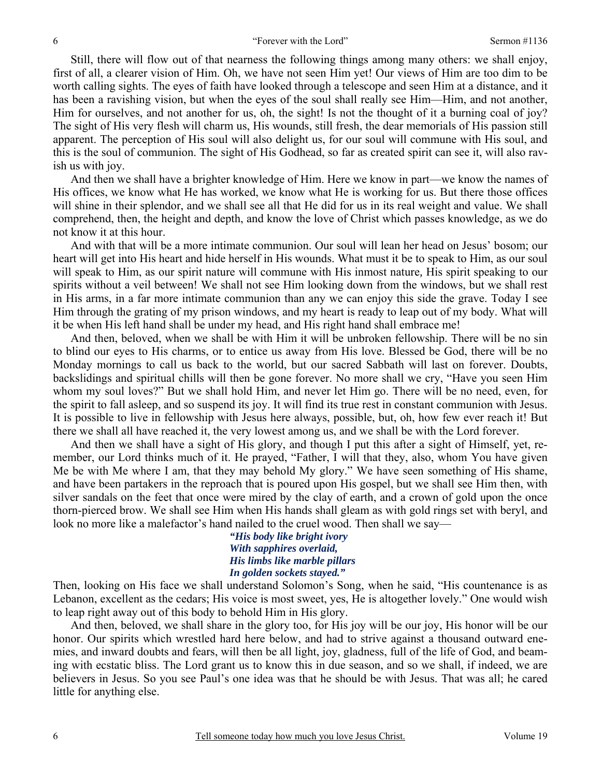Still, there will flow out of that nearness the following things among many others: we shall enjoy, first of all, a clearer vision of Him. Oh, we have not seen Him yet! Our views of Him are too dim to be worth calling sights. The eyes of faith have looked through a telescope and seen Him at a distance, and it has been a ravishing vision, but when the eyes of the soul shall really see Him—Him, and not another, Him for ourselves, and not another for us, oh, the sight! Is not the thought of it a burning coal of joy? The sight of His very flesh will charm us, His wounds, still fresh, the dear memorials of His passion still apparent. The perception of His soul will also delight us, for our soul will commune with His soul, and this is the soul of communion. The sight of His Godhead, so far as created spirit can see it, will also ravish us with joy.

 And then we shall have a brighter knowledge of Him. Here we know in part—we know the names of His offices, we know what He has worked, we know what He is working for us. But there those offices will shine in their splendor, and we shall see all that He did for us in its real weight and value. We shall comprehend, then, the height and depth, and know the love of Christ which passes knowledge, as we do not know it at this hour.

And with that will be a more intimate communion. Our soul will lean her head on Jesus' bosom; our heart will get into His heart and hide herself in His wounds. What must it be to speak to Him, as our soul will speak to Him, as our spirit nature will commune with His inmost nature*,* His spirit speaking to our spirits without a veil between! We shall not see Him looking down from the windows, but we shall rest in His arms, in a far more intimate communion than any we can enjoy this side the grave. Today I see Him through the grating of my prison windows, and my heart is ready to leap out of my body. What will it be when His left hand shall be under my head, and His right hand shall embrace me!

And then, beloved, when we shall be with Him it will be unbroken fellowship. There will be no sin to blind our eyes to His charms, or to entice us away from His love. Blessed be God, there will be no Monday mornings to call us back to the world, but our sacred Sabbath will last on forever. Doubts, backslidings and spiritual chills will then be gone forever. No more shall we cry, "Have you seen Him whom my soul loves?" But we shall hold Him, and never let Him go. There will be no need, even, for the spirit to fall asleep, and so suspend its joy. It will find its true rest in constant communion with Jesus. It is possible to live in fellowship with Jesus here always, possible, but, oh, how few ever reach it! But there we shall all have reached it, the very lowest among us, and we shall be with the Lord forever.

And then we shall have a sight of His glory, and though I put this after a sight of Himself, yet, remember, our Lord thinks much of it. He prayed, "Father, I will that they, also, whom You have given Me be with Me where I am, that they may behold My glory." We have seen something of His shame, and have been partakers in the reproach that is poured upon His gospel, but we shall see Him then, with silver sandals on the feet that once were mired by the clay of earth, and a crown of gold upon the once thorn-pierced brow. We shall see Him when His hands shall gleam as with gold rings set with beryl, and look no more like a malefactor's hand nailed to the cruel wood. Then shall we say—

> *"His body like bright ivory With sapphires overlaid, His limbs like marble pillars In golden sockets stayed."*

Then, looking on His face we shall understand Solomon's Song, when he said, "His countenance is as Lebanon, excellent as the cedars; His voice is most sweet, yes, He is altogether lovely." One would wish to leap right away out of this body to behold Him in His glory.

 And then, beloved, we shall share in the glory too, for His joy will be our joy, His honor will be our honor. Our spirits which wrestled hard here below, and had to strive against a thousand outward enemies, and inward doubts and fears, will then be all light, joy, gladness, full of the life of God, and beaming with ecstatic bliss. The Lord grant us to know this in due season, and so we shall, if indeed, we are believers in Jesus. So you see Paul's one idea was that he should be with Jesus. That was all; he cared little for anything else.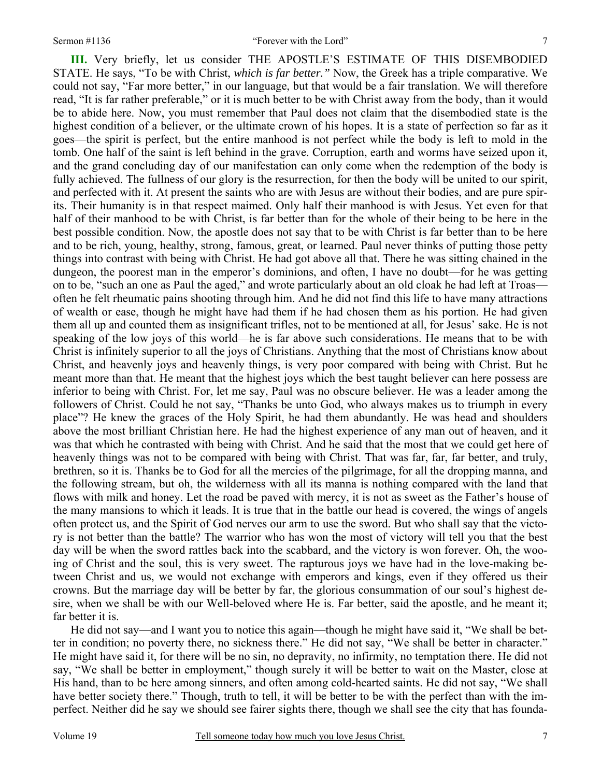#### Sermon #1136 "Forever with the Lord"

**III.** Very briefly, let us consider THE APOSTLE'S ESTIMATE OF THIS DISEMBODIED STATE. He says, "To be with Christ, *which is far better."* Now, the Greek has a triple comparative. We could not say, "Far more better," in our language, but that would be a fair translation. We will therefore read, "It is far rather preferable," or it is much better to be with Christ away from the body, than it would be to abide here. Now, you must remember that Paul does not claim that the disembodied state is the highest condition of a believer, or the ultimate crown of his hopes. It is a state of perfection so far as it goes—the spirit is perfect, but the entire manhood is not perfect while the body is left to mold in the tomb. One half of the saint is left behind in the grave. Corruption, earth and worms have seized upon it, and the grand concluding day of our manifestation can only come when the redemption of the body is fully achieved. The fullness of our glory is the resurrection, for then the body will be united to our spirit, and perfected with it. At present the saints who are with Jesus are without their bodies, and are pure spirits. Their humanity is in that respect maimed. Only half their manhood is with Jesus. Yet even for that half of their manhood to be with Christ, is far better than for the whole of their being to be here in the best possible condition. Now, the apostle does not say that to be with Christ is far better than to be here and to be rich, young, healthy, strong, famous, great, or learned. Paul never thinks of putting those petty things into contrast with being with Christ. He had got above all that. There he was sitting chained in the dungeon, the poorest man in the emperor's dominions, and often, I have no doubt—for he was getting on to be, "such an one as Paul the aged," and wrote particularly about an old cloak he had left at Troas often he felt rheumatic pains shooting through him. And he did not find this life to have many attractions of wealth or ease, though he might have had them if he had chosen them as his portion. He had given them all up and counted them as insignificant trifles, not to be mentioned at all, for Jesus' sake. He is not speaking of the low joys of this world—he is far above such considerations. He means that to be with Christ is infinitely superior to all the joys of Christians. Anything that the most of Christians know about Christ, and heavenly joys and heavenly things, is very poor compared with being with Christ. But he meant more than that. He meant that the highest joys which the best taught believer can here possess are inferior to being with Christ. For, let me say, Paul was no obscure believer. He was a leader among the followers of Christ. Could he not say, "Thanks be unto God, who always makes us to triumph in every place"? He knew the graces of the Holy Spirit, he had them abundantly. He was head and shoulders above the most brilliant Christian here. He had the highest experience of any man out of heaven, and it was that which he contrasted with being with Christ. And he said that the most that we could get here of heavenly things was not to be compared with being with Christ. That was far, far, far better, and truly, brethren, so it is. Thanks be to God for all the mercies of the pilgrimage, for all the dropping manna, and the following stream, but oh, the wilderness with all its manna is nothing compared with the land that flows with milk and honey. Let the road be paved with mercy, it is not as sweet as the Father's house of the many mansions to which it leads. It is true that in the battle our head is covered, the wings of angels often protect us, and the Spirit of God nerves our arm to use the sword. But who shall say that the victory is not better than the battle? The warrior who has won the most of victory will tell you that the best day will be when the sword rattles back into the scabbard, and the victory is won forever. Oh, the wooing of Christ and the soul, this is very sweet. The rapturous joys we have had in the love-making between Christ and us, we would not exchange with emperors and kings, even if they offered us their crowns. But the marriage day will be better by far, the glorious consummation of our soul's highest desire, when we shall be with our Well-beloved where He is. Far better, said the apostle, and he meant it; far better it is.

He did not say—and I want you to notice this again—though he might have said it, "We shall be better in condition; no poverty there, no sickness there." He did not say, "We shall be better in character." He might have said it, for there will be no sin, no depravity, no infirmity, no temptation there. He did not say, "We shall be better in employment," though surely it will be better to wait on the Master, close at His hand, than to be here among sinners, and often among cold-hearted saints. He did not say, "We shall have better society there." Though, truth to tell, it will be better to be with the perfect than with the imperfect. Neither did he say we should see fairer sights there, though we shall see the city that has founda